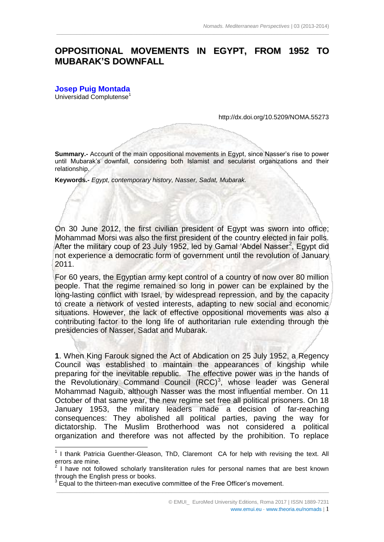## **OPPOSITIONAL MOVEMENTS IN EGYPT, FROM 1952 TO MUBARAK'S DOWNFALL**

 $\_$  ,  $\_$  ,  $\_$  ,  $\_$  ,  $\_$  ,  $\_$  ,  $\_$  ,  $\_$  ,  $\_$  ,  $\_$  ,  $\_$  ,  $\_$  ,  $\_$  ,  $\_$  ,  $\_$  ,  $\_$  ,  $\_$  ,  $\_$  ,  $\_$  ,  $\_$  ,  $\_$  ,  $\_$  ,  $\_$  ,  $\_$  ,  $\_$  ,  $\_$  ,  $\_$  ,  $\_$  ,  $\_$  ,  $\_$  ,  $\_$  ,  $\_$  ,  $\_$  ,  $\_$  ,  $\_$  ,  $\_$  ,  $\_$  ,

**[Josep Puig Montada](mailto:puigmont@filol.ucm.es)** Universidad Complutense<sup>1</sup>

1

<http://dx.doi.org/10.5209/NOMA.55273>

**Summary.-** Account of the main oppositional movements in Egypt, since Nasser's rise to power until Mubarak's downfall, considering both Islamist and secularist organizations and their relationship.

**Keywords.-** *Egypt, contemporary history, Nasser, Sadat, Mubarak.*

On 30 June 2012, the first civilian president of Egypt was sworn into office; Mohammad Morsi was also the first president of the country elected in fair polls. After the military coup of 23 July 1952, led by Gamal 'Abdel Nasser<sup>2</sup>, Egypt did not experience a democratic form of government until the revolution of January 2011.

For 60 years, the Egyptian army kept control of a country of now over 80 million people. That the regime remained so long in power can be explained by the long-lasting conflict with Israel, by widespread repression, and by the capacity to create a network of vested interests, adapting to new social and economic situations. However, the lack of effective oppositional movements was also a contributing factor to the long life of authoritarian rule extending through the presidencies of Nasser, Sadat and Mubarak.

**1**. When King Farouk signed the Act of Abdication on 25 July 1952, a Regency Council was established to maintain the appearances of kingship while preparing for the inevitable republic. The effective power was in the hands of the Revolutionary Command Council  $(RCC)^3$ , whose leader was General Mohammad Naguib, although Nasser was the most influential member. On 11 October of that same year, the new regime set free all political prisoners. On 18 January 1953, the military leaders made a decision of far-reaching consequences: They abolished all political parties, paving the way for dictatorship. The Muslim Brotherhood was not considered a political organization and therefore was not affected by the prohibition. To replace

<sup>&</sup>lt;sup>1</sup> I thank Patricia Guenther-Gleason, ThD, Claremont CA for help with revising the text. All errors are mine.

 $2$  I have not followed scholarly transliteration rules for personal names that are best known through the English press or books.

<sup>3</sup> Equal to the thirteen-man executive committee of the Free Officer's movement.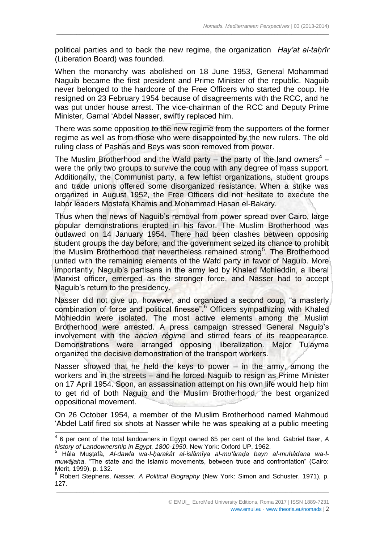political parties and to back the new regime, the organization *Hay'at al-taḥrîr* (Liberation Board) was founded.

 $\_$  ,  $\_$  ,  $\_$  ,  $\_$  ,  $\_$  ,  $\_$  ,  $\_$  ,  $\_$  ,  $\_$  ,  $\_$  ,  $\_$  ,  $\_$  ,  $\_$  ,  $\_$  ,  $\_$  ,  $\_$  ,  $\_$  ,  $\_$  ,  $\_$  ,  $\_$  ,  $\_$  ,  $\_$  ,  $\_$  ,  $\_$  ,  $\_$  ,  $\_$  ,  $\_$  ,  $\_$  ,  $\_$  ,  $\_$  ,  $\_$  ,  $\_$  ,  $\_$  ,  $\_$  ,  $\_$  ,  $\_$  ,  $\_$  ,

When the monarchy was abolished on 18 June 1953, General Mohammad Naguib became the first president and Prime Minister of the republic. Naguib never belonged to the hardcore of the Free Officers who started the coup. He resigned on 23 February 1954 because of disagreements with the RCC, and he was put under house arrest. The vice-chairman of the RCC and Deputy Prime Minister, Gamal ʻAbdel Nasser, swiftly replaced him.

There was some opposition to the new regime from the supporters of the former regime as well as from those who were disappointed by the new rulers. The old ruling class of Pashas and Beys was soon removed from power.

The Muslim Brotherhood and the Wafd party  $-$  the party of the land owners<sup>4</sup>  $$ were the only two groups to survive the coup with any degree of mass support. Additionally, the Communist party, a few leftist organizations, student groups and trade unions offered some disorganized resistance. When a strike was organized in August 1952, the Free Officers did not hesitate to execute the labor leaders Mostafa Khamis and Mohammad Hasan el-Bakary.

Thus when the news of Naguib's removal from power spread over Cairo, large popular demonstrations erupted in his favor. The Muslim Brotherhood was outlawed on 14 January 1954. There had been clashes between opposing student groups the day before, and the government seized its chance to prohibit the Muslim Brotherhood that nevertheless remained strong<sup>5</sup>. The Brotherhood united with the remaining elements of the Wafd party in favor of Naguib. More importantly, Naguib's partisans in the army led by Khaled Mohieddin, a liberal Marxist officer, emerged as the stronger force, and Nasser had to accept Naguib's return to the presidency.

Nasser did not give up, however, and organized a second coup, "a masterly combination of force and political finesse".<sup>6</sup> Officers sympathizing with Khaled Mohieddin were isolated. The most active elements among the Muslim Brotherhood were arrested. A press campaign stressed General Naguib's involvement with the *ancien régime* and stirred fears of its reappearance. Demonstrations were arranged opposing liberalization. Major Tuʻayma organized the decisive demonstration of the transport workers.

Nasser showed that he held the keys to power  $-$  in the army, among the workers and in the streets – and he forced Naguib to resign as Prime Minister on 17 April 1954. Soon, an assassination attempt on his own life would help him to get rid of both Naguib and the Muslim Brotherhood, the best organized oppositional movement.

On 26 October 1954, a member of the Muslim Brotherhood named Mahmoud ʻAbdel Latif fired six shots at Nasser while he was speaking at a public meeting

www.emui.eu · www.theoria.eu/nomads | 2

 4 6 per cent of the total landowners in Egypt owned 65 per cent of the land. Gabriel Baer, *A history of Landownership in Egypt, 1800-1950*. New York: Oxford UP, 1962.

<sup>5</sup> Hâla Muṣṭafà, *Al-dawla wa-l-ḥarakât al-islâmîya al-muʻâraḍa bayn al-muhâdana wa-lmuwâjaha*, "The state and the Islamic movements, between truce and confrontation" (Cairo: Merit, 1999), p. 132.

\_\_\_\_\_\_\_\_\_\_\_\_\_\_\_\_\_\_\_\_\_\_\_\_\_\_\_\_\_\_\_\_\_\_\_\_\_\_\_\_\_\_\_\_\_\_\_\_\_\_\_\_\_\_\_\_\_\_\_\_\_\_\_\_\_\_\_\_\_\_\_\_\_\_\_\_\_\_\_\_\_\_\_\_\_\_\_\_\_\_\_\_\_\_\_ <sup>6</sup> Robert Stephens, *Nasser. A Political Biography* (New York: Simon and Schuster, 1971), p. 127.

<sup>©</sup> EMUI\_ EuroMed University Editions, Roma 2017 | ISSN 1889-7231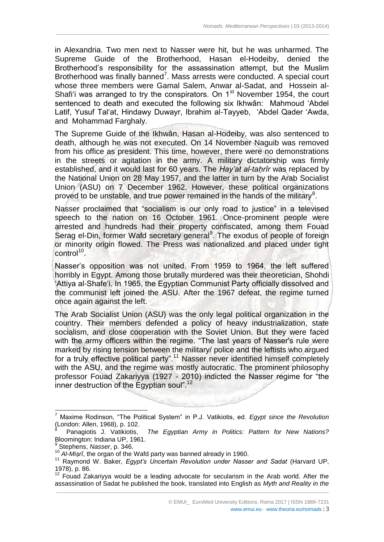in Alexandria. Two men next to Nasser were hit, but he was unharmed. The Supreme Guide of the Brotherhood, Hasan el-Hodeiby, denied the Brotherhood's responsibility for the assassination attempt, but the Muslim Brotherhood was finally banned<sup>7</sup>. Mass arrests were conducted. A special court whose three members were Gamal Salem, Anwar al-Sadat, and Hossein al-Shafi'i was arranged to try the conspirators. On  $1<sup>st</sup>$  November 1954, the court sentenced to death and executed the following six Ikhwân: Mahmoud ʻAbdel Latif, Yusuf Talʻat, Hindawy Duwayr, Ibrahim al-Tayyeb, ʻAbdel Qader ʻAwda, and Mohammad Farghaly.

 $\_$  ,  $\_$  ,  $\_$  ,  $\_$  ,  $\_$  ,  $\_$  ,  $\_$  ,  $\_$  ,  $\_$  ,  $\_$  ,  $\_$  ,  $\_$  ,  $\_$  ,  $\_$  ,  $\_$  ,  $\_$  ,  $\_$  ,  $\_$  ,  $\_$  ,  $\_$  ,  $\_$  ,  $\_$  ,  $\_$  ,  $\_$  ,  $\_$  ,  $\_$  ,  $\_$  ,  $\_$  ,  $\_$  ,  $\_$  ,  $\_$  ,  $\_$  ,  $\_$  ,  $\_$  ,  $\_$  ,  $\_$  ,  $\_$  ,

The Supreme Guide of the Ikhwân, Hasan al-Hodeiby, was also sentenced to death, although he was not executed. On 14 November Naguib was removed from his office as president. This time, however, there were no demonstrations in the streets or agitation in the army. A military dictatorship was firmly established, and it would last for 60 years. The *Hay'at al-taḥrîr* was replaced by the National Union on 28 May 1957, and the latter in turn by the Arab Socialist Union (ASU) on 7 December 1962. However, these political organizations proved to be unstable, and true power remained in the hands of the military<sup>8</sup>.

Nasser proclaimed that "socialism is our only road to justice" in a televised speech to the nation on 16 October 1961. Once-prominent people were arrested and hundreds had their property confiscated, among them Fouad Serag el-Din, former Wafd secretary general<sup>9</sup>. The exodus of people of foreign or minority origin flowed. The Press was nationalized and placed under tight control<sup>10</sup>.

Nasser's opposition was not united. From 1959 to 1964, the left suffered horribly in Egypt. Among those brutally murdered was their theoretician, Shohdi 'Attiya al-Shafe'i. In 1965, the Egyptian Communist Party officially dissolved and the communist left joined the ASU. After the 1967 defeat, the regime turned once again against the left.

The Arab Socialist Union (ASU) was the only legal political organization in the country. Their members defended a policy of heavy industrialization, state socialism, and close cooperation with the Soviet Union. But they were faced with the army officers within the regime. "The last years of Nasser's rule were marked by rising tension between the military/ police and the leftists who argued for a truly effective political party".<sup>11</sup> Nasser never identified himself completely with the ASU, and the regime was mostly autocratic. The prominent philosophy professor Fouad Zakariyya (1927 - 2010) indicted the Nasser regime for "the inner destruction of the Egyptian soul".<sup>12</sup>

<sup>7</sup> Maxime Rodinson, "The Political System" in P.J. Vatikiotis, ed. *Egypt since the Revolution* (London: Allen, 1968), p. 102.

<sup>8</sup> Panagiotis J. Vatikiotis, *The Egyptian Army in Politics: Pattern for New Nations?* Bloomington: Indiana UP, 1961.

<sup>9</sup> Stephens, *Nasser*, p. 346.

<sup>&</sup>lt;sup>10</sup> Al-Misrî, the organ of the Wafd party was banned already in 1960.

<sup>11</sup> Raymond W. Baker, *Egypt's Uncertain Revolution under Nasser and Sadat* (Harvard UP, 1978), p. 86.

\_\_\_\_\_\_\_\_\_\_\_\_\_\_\_\_\_\_\_\_\_\_\_\_\_\_\_\_\_\_\_\_\_\_\_\_\_\_\_\_\_\_\_\_\_\_\_\_\_\_\_\_\_\_\_\_\_\_\_\_\_\_\_\_\_\_\_\_\_\_\_\_\_\_\_\_\_\_\_\_\_\_\_\_\_\_\_\_\_\_\_\_\_\_\_  $12$  Fouad Zakariyya would be a leading advocate for secularism in the Arab world. After the assassination of Sadat he published the book, translated into English as *Myth and Reality in the*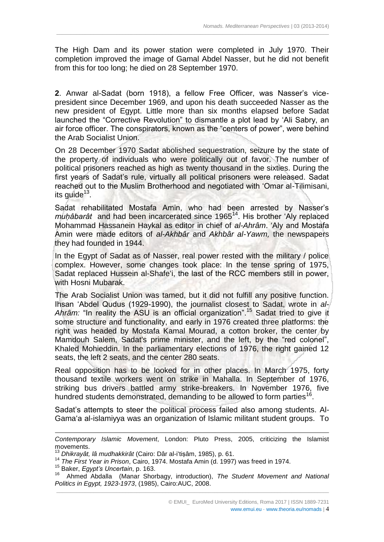The High Dam and its power station were completed in July 1970. Their completion improved the image of Gamal Abdel Nasser, but he did not benefit from this for too long; he died on 28 September 1970.

 $\_$  ,  $\_$  ,  $\_$  ,  $\_$  ,  $\_$  ,  $\_$  ,  $\_$  ,  $\_$  ,  $\_$  ,  $\_$  ,  $\_$  ,  $\_$  ,  $\_$  ,  $\_$  ,  $\_$  ,  $\_$  ,  $\_$  ,  $\_$  ,  $\_$  ,  $\_$  ,  $\_$  ,  $\_$  ,  $\_$  ,  $\_$  ,  $\_$  ,  $\_$  ,  $\_$  ,  $\_$  ,  $\_$  ,  $\_$  ,  $\_$  ,  $\_$  ,  $\_$  ,  $\_$  ,  $\_$  ,  $\_$  ,  $\_$  ,

**2**. Anwar al-Sadat (born 1918), a fellow Free Officer, was Nasser's vicepresident since December 1969, and upon his death succeeded Nasser as the new president of Egypt. Little more than six months elapsed before Sadat launched the "Corrective Revolution" to dismantle a plot lead by ʻAli Sabry, an air force officer. The conspirators, known as the "centers of power", were behind the Arab Socialist Union.

On 28 December 1970 Sadat abolished sequestration, seizure by the state of the property of individuals who were politically out of favor. The number of political prisoners reached as high as twenty thousand in the sixties. During the first years of Sadat's rule, virtually all political prisoners were released. Sadat reached out to the Muslim Brotherhood and negotiated with ʻOmar al-Tilimisani, its guide<sup>13</sup>.

Sadat rehabilitated Mostafa Amin, who had been arrested by Nasser's *muḥâbarât* and had been incarcerated since 1965<sup>14</sup>. His brother 'Aly replaced Mohammad Hassanein Haykal as editor in chief of *al-Ahrâm*. ʻAly and Mostafa Amin were made editors of *al-Akhbâr* and *Akhbâr al-Yawm,* the newspapers they had founded in 1944.

In the Egypt of Sadat as of Nasser, real power rested with the military / police complex. However, some changes took place: In the tense spring of 1975, Sadat replaced Hussein al-Shafeʻi, the last of the RCC members still in power, with Hosni Mubarak.

The Arab Socialist Union was tamed, but it did not fulfill any positive function. Ihsan ʻAbdel Qudus (1929-1990), the journalist closest to Sadat, wrote in *al-Ahrâm:* "In reality the ASU is an official organization".<sup>15</sup> Sadat tried to give it some structure and functionality, and early in 1976 created three platforms: the right was headed by Mostafa Kamal Mourad, a cotton broker, the center by Mamdouh Salem, Sadat's prime minister, and the left, by the "red colonel", Khaled Mohieddin. In the parliamentary elections of 1976, the right gained 12 seats, the left 2 seats, and the center 280 seats.

Real opposition has to be looked for in other places. In March 1975, forty thousand textile workers went on strike in Mahalla. In September of 1976, striking bus drivers battled army strike-breakers. In November 1976, five hundred students demonstrated, demanding to be allowed to form parties<sup>16</sup>.

Sadat's attempts to steer the political process failed also among students. Al-Gamaʻa al-islamiyya was an organization of Islamic militant student groups. To

1

www.emui.eu · www.theoria.eu/nomads | 4

*Contemporary Islamic Movement*, London: Pluto Press, 2005, criticizing the Islamist movements.

<sup>13</sup> *Dhikrayât, lâ mudhakkirât* (Cairo: Dâr al-iʻtiṣâm, 1985), p. 61.

<sup>14</sup> *The First Year in Prison*, Cairo, 1974. Mostafa Amin (d. 1997) was freed in 1974.

<sup>15</sup> Baker, *Egypt's Uncertain*, p. 163.

\_\_\_\_\_\_\_\_\_\_\_\_\_\_\_\_\_\_\_\_\_\_\_\_\_\_\_\_\_\_\_\_\_\_\_\_\_\_\_\_\_\_\_\_\_\_\_\_\_\_\_\_\_\_\_\_\_\_\_\_\_\_\_\_\_\_\_\_\_\_\_\_\_\_\_\_\_\_\_\_\_\_\_\_\_\_\_\_\_\_\_\_\_\_\_ 16 Ahmed Abdalla (Manar Shorbagy, introduction), *The Student Movement and National Politics in Egypt, 1923-1973*, (1985), Cairo:AUC, 2008.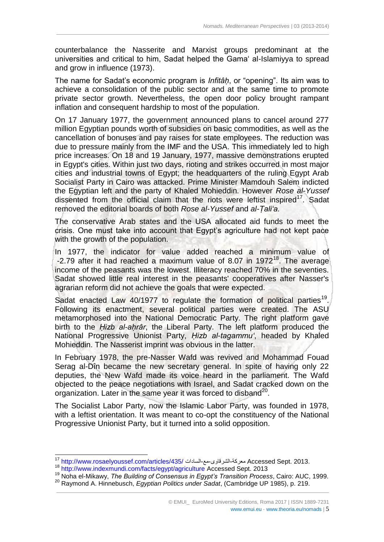counterbalance the Nasserite and Marxist groups predominant at the universities and critical to him, Sadat helped the Gamaʻ al-Islamiyya to spread and grow in influence (1973).

 $\_$  ,  $\_$  ,  $\_$  ,  $\_$  ,  $\_$  ,  $\_$  ,  $\_$  ,  $\_$  ,  $\_$  ,  $\_$  ,  $\_$  ,  $\_$  ,  $\_$  ,  $\_$  ,  $\_$  ,  $\_$  ,  $\_$  ,  $\_$  ,  $\_$  ,  $\_$  ,  $\_$  ,  $\_$  ,  $\_$  ,  $\_$  ,  $\_$  ,  $\_$  ,  $\_$  ,  $\_$  ,  $\_$  ,  $\_$  ,  $\_$  ,  $\_$  ,  $\_$  ,  $\_$  ,  $\_$  ,  $\_$  ,  $\_$  ,

The name for Sadat's economic program is *Infitâḥ*, or "opening". Its aim was to achieve a consolidation of the public sector and at the same time to promote private sector growth. Nevertheless, the open door policy brought rampant inflation and consequent hardship to most of the population.

On 17 January 1977, the government announced plans to cancel around 277 million Egyptian pounds worth of subsidies on basic commodities, as well as the cancellation of bonuses and pay raises for state employees. The reduction was due to pressure mainly from the IMF and the USA. This immediately led to high price increases. On 18 and 19 January, 1977, massive demonstrations erupted in Egypt's cities. Within just two days, rioting and strikes occurred in most major cities and industrial towns of Egypt; the headquarters of the ruling Egypt Arab Socialist Party in Cairo was attacked. Prime Minister Mamdouh Salem indicted the Egyptian left and the party of Khaled Mohieddin. However *Rose al-Yussef* dissented from the official claim that the riots were leftist inspired<sup>17</sup>. Sadat removed the editorial boards of both *Rose al-Yussef* and *al-Ṭaliʻa.*

The conservative Arab states and the USA allocated aid funds to meet the crisis. One must take into account that Egypt's agriculture had not kept pace with the growth of the population.

In 1977, the indicator for value added reached a minimum value of  $-2.79$  after it had reached a maximum value of 8.07 in 1972<sup>18</sup>. The average income of the peasants was the lowest. Illiteracy reached 70% in the seventies. Sadat showed little real interest in the peasants' cooperatives after Nasser's agrarian reform did not achieve the goals that were expected.

Sadat enacted Law  $40/1977$  to regulate the formation of political parties<sup>19</sup>. Following its enactment, several political parties were created. The ASU metamorphosed into the National Democratic Party. The right platform gave birth to the *Ḥizb al-aḥrâr*, the Liberal Party. The left platform produced the National Progressive Unionist Party, *Ḥizb al-tagammuʻ*, headed by Khaled Mohieddin. The Nasserist imprint was obvious in the latter.

In February 1978, the pre-Nasser Wafd was revived and Mohammad Fouad Serag al-Dîn became the new secretary general. In spite of having only 22 deputies, the New Wafd made its voice heard in the parliament. The Wafd objected to the peace negotiations with Israel, and Sadat cracked down on the organization. Later in the same year it was forced to disband $^{20}$ .

The Socialist Labor Party, now the Islamic Labor Party, was founded in 1978, with a leftist orientation. It was meant to co-opt the constituency of the National Progressive Unionist Party, but it turned into a solid opposition.

<sup>17</sup> <http://www.rosaelyoussef.com/articles/435/> السادات-مع-الشرقاوى-معركة Accessed Sept. 2013.

<sup>18</sup> <http://www.indexmundi.com/facts/egypt/agriculture> Accessed Sept. 2013

<sup>19</sup> Noha el-Mikawy, *The Building of Consensus in Egypt's Transition Process*, Cairo: AUC, 1999.

\_\_\_\_\_\_\_\_\_\_\_\_\_\_\_\_\_\_\_\_\_\_\_\_\_\_\_\_\_\_\_\_\_\_\_\_\_\_\_\_\_\_\_\_\_\_\_\_\_\_\_\_\_\_\_\_\_\_\_\_\_\_\_\_\_\_\_\_\_\_\_\_\_\_\_\_\_\_\_\_\_\_\_\_\_\_\_\_\_\_\_\_\_\_\_ <sup>20</sup> Raymond A. Hinnebusch, *Egyptian Politics under Sadat*, (Cambridge UP 1985), p. 219.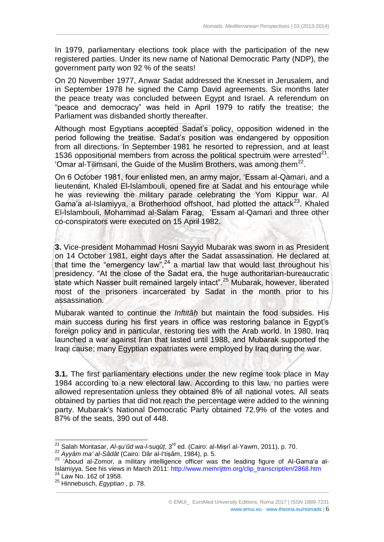In 1979, parliamentary elections took place with the participation of the new registered parties. Under its new name of National Democratic Party (NDP), the government party won 92 % of the seats!

 $\_$  ,  $\_$  ,  $\_$  ,  $\_$  ,  $\_$  ,  $\_$  ,  $\_$  ,  $\_$  ,  $\_$  ,  $\_$  ,  $\_$  ,  $\_$  ,  $\_$  ,  $\_$  ,  $\_$  ,  $\_$  ,  $\_$  ,  $\_$  ,  $\_$  ,  $\_$  ,  $\_$  ,  $\_$  ,  $\_$  ,  $\_$  ,  $\_$  ,  $\_$  ,  $\_$  ,  $\_$  ,  $\_$  ,  $\_$  ,  $\_$  ,  $\_$  ,  $\_$  ,  $\_$  ,  $\_$  ,  $\_$  ,  $\_$  ,

On 20 November 1977, Anwar Sadat addressed the Knesset in Jerusalem, and in September 1978 he signed the Camp David agreements. Six months later the peace treaty was concluded between Egypt and Israel. A referendum on "peace and democracy" was held in April 1979 to ratify the treatise; the Parliament was disbanded shortly thereafter.

Although most Egyptians accepted Sadat's policy, opposition widened in the period following the treatise. Sadat's position was endangered by opposition from all directions. In September 1981 he resorted to repression, and at least 1536 oppositional members from across the political spectrum were arrested $^{21}$ . 'Omar al-Tilimsani, the Guide of the Muslim Brothers, was among them<sup>22</sup>.

On 6 October 1981, four enlisted men, an army major, ʻEssam al-Qamari, and a lieutenant, Khaled El-Islambouli, opened fire at Sadat and his entourage while he was reviewing the military parade celebrating the Yom Kippur war. Al Gama'a al-Islamiyya, a Brotherhood offshoot, had plotted the attack $^{23}$ . Khaled El-Islambouli, Mohammad al-Salam Farag, ʻEssam al-Qamari and three other co-conspirators were executed on 15 April 1982.

**3.** Vice-president Mohammad Hosni Sayyid Mubarak was sworn in as President on 14 October 1981, eight days after the Sadat assassination. He declared at that time the "emergency law",<sup>24</sup> a martial law that would last throughout his presidency. "At the close of the Sadat era, the huge authoritarian-bureaucratic state which Nasser built remained largely intact".<sup>25</sup> Mubarak, however, liberated most of the prisoners incarcerated by Sadat in the month prior to his assassination.

Mubarak wanted to continue the *Inftitâḥ* but maintain the food subsides. His main success during his first years in office was restoring balance in Egypt's foreign policy and in particular, restoring ties with the Arab world. In 1980, Iraq launched a war against Iran that lasted until 1988, and Mubarak supported the Iraqi cause; many Egyptian expatriates were employed by Iraq during the war.

**3.1.** The first parliamentary elections under the new regime took place in May 1984 according to a new electoral law. According to this law, no parties were allowed representation unless they obtained 8% of all national votes. All seats obtained by parties that did not reach the percentage were added to the winning party. Mubarak's National Democratic Party obtained 72.9% of the votes and 87% of the seats, 390 out of 448.

\_\_\_\_\_\_\_\_\_\_\_\_\_\_\_\_\_\_\_\_\_\_\_\_\_\_\_\_\_\_\_\_\_\_\_\_\_\_\_\_\_\_\_\_\_\_\_\_\_\_\_\_\_\_\_\_\_\_\_\_\_\_\_\_\_\_\_\_\_\_\_\_\_\_\_\_\_\_\_\_\_\_\_\_\_\_\_\_\_\_\_\_\_\_\_

 $\overline{\phantom{a}}$ 

<sup>&</sup>lt;sup>21</sup> Salah Montasar, *Al-ṣuʻûd wa-l-suqûṭ*, 3<sup>rd</sup> ed. (Cairo: al-Miṣrî al-Yawm, 2011), p. 70.

<sup>22</sup> *Ayyâm maʻ al-Sâdât* (Cairo: Dâr al-Iʻtiṣâm, 1984), p. 5.

<sup>23 &#</sup>x27;Aboud al-Zomor, a military intelligence officer was the leading figure of Al-Gama'a al-Islamiyya. See his views in March 2011: [http://www.memrijttm.org/clip\\_transcript/en/2868.htm](http://www.memrijttm.org/clip_transcript/en/2868.htm) <sup>24</sup> Law No. 162 of 1958.

<sup>25</sup> Hinnebusch, *Egyptian* , p. 78.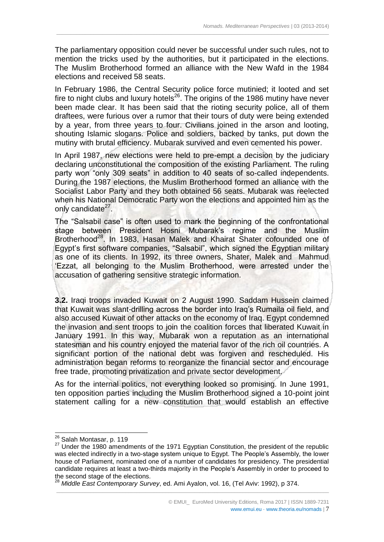The parliamentary opposition could never be successful under such rules, not to mention the tricks used by the authorities, but it participated in the elections. The Muslim Brotherhood formed an alliance with the New Wafd in the 1984 elections and received 58 seats.

 $\_$  ,  $\_$  ,  $\_$  ,  $\_$  ,  $\_$  ,  $\_$  ,  $\_$  ,  $\_$  ,  $\_$  ,  $\_$  ,  $\_$  ,  $\_$  ,  $\_$  ,  $\_$  ,  $\_$  ,  $\_$  ,  $\_$  ,  $\_$  ,  $\_$  ,  $\_$  ,  $\_$  ,  $\_$  ,  $\_$  ,  $\_$  ,  $\_$  ,  $\_$  ,  $\_$  ,  $\_$  ,  $\_$  ,  $\_$  ,  $\_$  ,  $\_$  ,  $\_$  ,  $\_$  ,  $\_$  ,  $\_$  ,  $\_$  ,

In February 1986, the Central Security police force mutinied; it looted and set fire to night clubs and luxury hotels<sup>26</sup>. The origins of the 1986 mutiny have never been made clear. It has been said that the rioting security police, all of them draftees, were furious over a rumor that their tours of duty were being extended by a year, from three years to four. Civilians joined in the arson and looting, shouting Islamic slogans. Police and soldiers, backed by tanks, put down the mutiny with brutal efficiency. Mubarak survived and even cemented his power.

In April 1987, new elections were held to pre-empt a decision by the judiciary declaring unconstitutional the composition of the existing Parliament. The ruling party won "only 309 seats" in addition to 40 seats of so-called independents. During the 1987 elections, the Muslim Brotherhood formed an alliance with the Socialist Labor Party and they both obtained 56 seats. Mubarak was reelected when his National Democratic Party won the elections and appointed him as the only candidate<sup>27</sup>.

The "Salsabil case" is often used to mark the beginning of the confrontational stage between President Hosni Mubarak's regime and the Muslim Brotherhood<sup>28</sup>. In 1983, Hasan Malek and Khairat Shater cofounded one of Egypt's first software companies, "Salsabil", which signed the Egyptian military as one of its clients. In 1992, its three owners, Shater, Malek and Mahmud ʻEzzat, all belonging to the Muslim Brotherhood, were arrested under the accusation of gathering sensitive strategic information.

**3.2.** Iraqi troops invaded Kuwait on 2 August 1990. Saddam Hussein claimed that Kuwait was slant-drilling across the border into Iraq's Rumaila oil field, and also accused Kuwait of other attacks on the economy of Iraq. Egypt condemned the invasion and sent troops to join the coalition forces that liberated Kuwait in January 1991. In this way, Mubarak won a reputation as an international statesman and his country enjoyed the material favor of the rich oil countries. A significant portion of the national debt was forgiven and rescheduled. His administration began reforms to reorganize the financial sector and encourage free trade, promoting privatization and private sector development.

As for the internal politics, not everything looked so promising. In June 1991, ten opposition parties including the Muslim Brotherhood signed a 10-point joint statement calling for a new constitution that would establish an effective

1

<sup>&</sup>lt;sup>26</sup> Salah Montasar, p. 119

<sup>&</sup>lt;sup>27</sup> Under the 1980 amendments of the 1971 Egyptian Constitution, the president of the republic was elected indirectly in a two-stage system unique to Egypt. The People's Assembly, the lower house of Parliament, nominated one of a number of candidates for presidency. The presidential candidate requires at least a two-thirds majority in the People's Assembly in order to proceed to the second stage of the elections.

<sup>28</sup> *Middle East Contemporary Survey*, ed. Ami Ayalon, vol. 16, (Tel Aviv: 1992), p 374.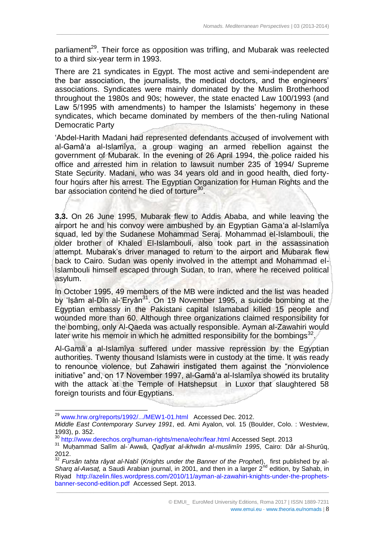parliament<sup>29</sup>. Their force as opposition was trifling, and Mubarak was reelected to a third six-year term in 1993.

 $\_$  ,  $\_$  ,  $\_$  ,  $\_$  ,  $\_$  ,  $\_$  ,  $\_$  ,  $\_$  ,  $\_$  ,  $\_$  ,  $\_$  ,  $\_$  ,  $\_$  ,  $\_$  ,  $\_$  ,  $\_$  ,  $\_$  ,  $\_$  ,  $\_$  ,  $\_$  ,  $\_$  ,  $\_$  ,  $\_$  ,  $\_$  ,  $\_$  ,  $\_$  ,  $\_$  ,  $\_$  ,  $\_$  ,  $\_$  ,  $\_$  ,  $\_$  ,  $\_$  ,  $\_$  ,  $\_$  ,  $\_$  ,  $\_$  ,

There are 21 syndicates in Egypt. The most active and semi-independent are the bar association, the journalists, the medical doctors, and the engineers' associations. Syndicates were mainly dominated by the Muslim Brotherhood throughout the 1980s and 90s; however, the state enacted Law 100/1993 (and Law 5/1995 with amendments) to hamper the Islamists' hegemony in these syndicates, which became dominated by members of the then-ruling National Democratic Party

ʻAbdel-Harith Madani had represented defendants accused of involvement with al-Gamâʻa al-Islamîya, a group waging an armed rebellion against the government of Mubarak. In the evening of 26 April 1994, the police raided his office and arrested him in relation to lawsuit number 235 of 1994/ Supreme State Security. Madani, who was 34 years old and in good health, died fortyfour hours after his arrest. The Egyptian Organization for Human Rights and the bar association contend he died of torture<sup>30</sup>.

**3.3.** On 26 June 1995, Mubarak flew to Addis Ababa, and while leaving the airport he and his convoy were ambushed by an Egyptian Gamaʻa al-Islamîya squad, led by the Sudanese Mohammad Seraj. Mohammad el-Islambouli, the older brother of Khaled El-Islambouli, also took part in the assassination attempt. Mubarak's driver managed to return to the airport and Mubarak flew back to Cairo. Sudan was openly involved in the attempt and Mohammad el-Islambouli himself escaped through Sudan, to Iran, where he received political asylum.

In October 1995, 49 members of the MB were indicted and the list was headed by 'Isâm al-Dîn al-'Eryân<sup>31</sup>. On 19 November 1995, a suicide bombing at the Egyptian embassy in the Pakistani capital Islamabad killed 15 people and wounded more than 60. Although three organizations claimed responsibility for the bombing, only Al-Qaeda was actually responsible. Ayman al-Zawahiri would later write his memoir in which he admitted responsibility for the bombings $^{32}$ .

Al-Gamâʿa al-Islamîya suffered under massive repression by the Egyptian authorities. Twenty thousand Islamists were in custody at the time. It was ready to renounce violence, but Zahawiri instigated them against the "nonviolence initiative" and, on 17 November 1997, al-Gamâʻa al-Islamîya showed its brutality with the attack at the Temple of Hatshepsut in Luxor that slaughtered 58 foreign tourists and four Egyptians.

<sup>&</sup>lt;sup>29</sup> [www.hrw.org/reports/1992/.../MEW1-01.html](http://www.hrw.org/reports/1992/.../MEW1-01.html) Accessed Dec. 2012.

*Middle East Contemporary Survey 1991*, ed. Ami Ayalon, vol. 15 (Boulder, Colo. : Westview, 1993), p. 352.

<sup>30</sup> <http://www.derechos.org/human-rights/mena/eohr/fear.html> Accessed Sept. 2013

<sup>31</sup> Muḥammad Salîm al-ʿAwwâ, *Qaḍîyat al-ikhwân al-muslimîn 1995*, Cairo: Dâr al-Shurûq, 2012.

\_\_\_\_\_\_\_\_\_\_\_\_\_\_\_\_\_\_\_\_\_\_\_\_\_\_\_\_\_\_\_\_\_\_\_\_\_\_\_\_\_\_\_\_\_\_\_\_\_\_\_\_\_\_\_\_\_\_\_\_\_\_\_\_\_\_\_\_\_\_\_\_\_\_\_\_\_\_\_\_\_\_\_\_\_\_\_\_\_\_\_\_\_\_\_ <sup>32</sup> *Fursân taḥta râyat al-Nabî* (*Knights under the Banner of the Prophet*), first published by al-Sharq al-Awsat, a Saudi Arabian journal, in 2001, and then in a larger 2<sup>nd</sup> edition, by Sahab, in Riyad [http://azelin.files.wordpress.com/2010/11/ayman-al-zawahiri-knights-under-the-prophets](http://azelin.files.wordpress.com/2010/11/ayman-al-zawahiri-knights-under-the-prophets-banner-second-edition.pdf)[banner-second-edition.pdf](http://azelin.files.wordpress.com/2010/11/ayman-al-zawahiri-knights-under-the-prophets-banner-second-edition.pdf) Accessed Sept. 2013.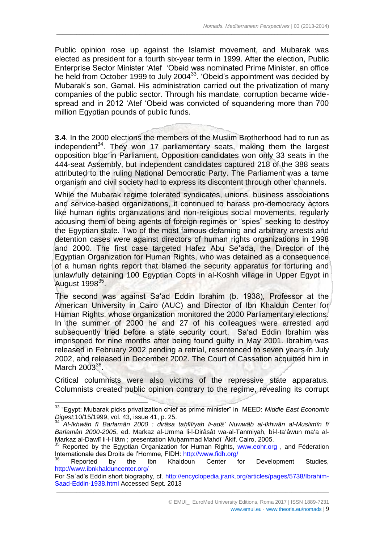Public opinion rose up against the Islamist movement, and Mubarak was elected as president for a fourth six-year term in 1999. After the election, Public Enterprise Sector Minister ʻAtef ʻObeid was nominated Prime Minister, an office he held from October 1999 to July 2004<sup>33</sup>. 'Obeid's appointment was decided by Mubarak's son, Gamal. His administration carried out the privatization of many companies of the public sector. Through his mandate, corruption became widespread and in 2012 ʻAtef ʻObeid was convicted of squandering more than 700 million Egyptian pounds of public funds.

 $\_$  ,  $\_$  ,  $\_$  ,  $\_$  ,  $\_$  ,  $\_$  ,  $\_$  ,  $\_$  ,  $\_$  ,  $\_$  ,  $\_$  ,  $\_$  ,  $\_$  ,  $\_$  ,  $\_$  ,  $\_$  ,  $\_$  ,  $\_$  ,  $\_$  ,  $\_$  ,  $\_$  ,  $\_$  ,  $\_$  ,  $\_$  ,  $\_$  ,  $\_$  ,  $\_$  ,  $\_$  ,  $\_$  ,  $\_$  ,  $\_$  ,  $\_$  ,  $\_$  ,  $\_$  ,  $\_$  ,  $\_$  ,  $\_$  ,

**3.4**. In the 2000 elections the members of the Muslim Brotherhood had to run as independent<sup>34</sup>. They won 17 parliamentary seats, making them the largest opposition bloc in Parliament. Opposition candidates won only 33 seats in the 444-seat Assembly, but independent candidates captured 218 of the 388 seats attributed to the ruling National Democratic Party. The Parliament was a tame organism and civil society had to express its discontent through other channels.

While the Mubarak regime tolerated syndicates, unions, business associations and service-based organizations, it continued to harass pro-democracy actors like human rights organizations and non-religious social movements, regularly accusing them of being agents of foreign regimes or "spies" seeking to destroy the Egyptian state. Two of the most famous defaming and arbitrary arrests and detention cases were against directors of human rights organizations in 1998 and 2000. The first case targeted Hafez Abu Seʻada, the Director of the Egyptian Organization for Human Rights, who was detained as a consequence of a human rights report that blamed the security apparatus for torturing and unlawfully detaining 100 Egyptian Copts in al-Koshh village in Upper Egypt in August 1998<sup>35</sup>.

The second was against Saʻad Eddin Ibrahim (b. 1938), Professor at the American University in Cairo (AUC) and Director of Ibn Khaldun Center for Human Rights, whose organization monitored the 2000 Parliamentary elections. In the summer of 2000 he and 27 of his colleagues were arrested and subsequently tried before a state security court. Saʻad Eddin Ibrahim was imprisoned for nine months after being found guilty in May 2001. Ibrahim was released in February 2002 pending a retrial, resentenced to seven years in July 2002, and released in December 2002. The Court of Cassation acquitted him in March 2003<sup>36</sup>.

Critical columnists were also victims of the repressive state apparatus. Columnists created public opinion contrary to the regime, revealing its corrupt

1

<sup>33</sup> "Egypt: Mubarak picks privatization chief as prime minister" in MEED: *Middle East Economic Digest*;10/15/1999, vol. 43, issue 41, p. 25.

<sup>34</sup> *Al-Ikhwân fî Barlamân 2000 : dirâsa taḥlîlîyah li-adâ' Nuwwâb al-Ikhwân al-Muslimîn fî Barlamân 2000-2005*, ed. Markaz al-Umma li-l-Dirâsât wa-al-Tanmiyah, bi-l-taʻâwun maʻa al-Markaz al-Dawlî li-l-I'lâm ; presentation Muḥammad Mahdî 'Ākif. Cairo, 2005.

Reported by the Egyptian Organization for Human Rights, [www.eohr.org](http://www.eohr.org/), and Féderation Internationale des Droits de l'Homme, FIDH:<http://www.fidh.org/>

Reported by the Ibn Khaldoun Center for Development Studies, <http://www.ibnkhalduncenter.org/>

\_\_\_\_\_\_\_\_\_\_\_\_\_\_\_\_\_\_\_\_\_\_\_\_\_\_\_\_\_\_\_\_\_\_\_\_\_\_\_\_\_\_\_\_\_\_\_\_\_\_\_\_\_\_\_\_\_\_\_\_\_\_\_\_\_\_\_\_\_\_\_\_\_\_\_\_\_\_\_\_\_\_\_\_\_\_\_\_\_\_\_\_\_\_\_ For Saʿad's Eddin short biography, cf. [http://encyclopedia.jrank.org/articles/pages/5738/Ibrahim-](http://encyclopedia.jrank.org/articles/pages/5738/Ibrahim-Saad-Eddin-1938.html)[Saad-Eddin-1938.html](http://encyclopedia.jrank.org/articles/pages/5738/Ibrahim-Saad-Eddin-1938.html) Accessed Sept. 2013

www.emui.eu · www.theoria.eu/nomads | 9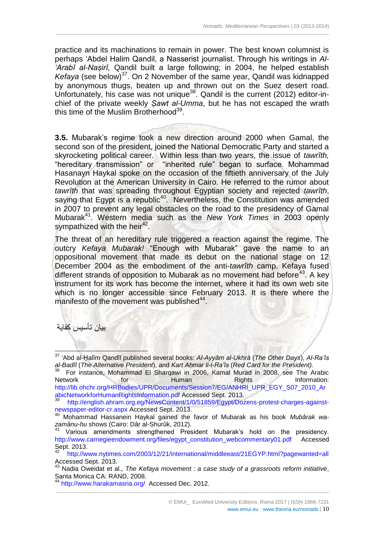practice and its machinations to remain in power. The best known columnist is perhaps ʻAbdel Halim Qandil, a Nasserist journalist. Through his writings in *Al-ʻArabî al-Naṣirî,* Qandil built a large following; in 2004, he helped establish *Kefaya* (see below)<sup>37</sup>. On 2 November of the same year, Qandil was kidnapped by anonymous thugs, beaten up and thrown out on the Suez desert road. Unfortunately, his case was not unique<sup>38</sup>. Qandil is the current (2012) editor-inchief of the private weekly *Ṣawt al-Umma*, but he has not escaped the wrath this time of the Muslim Brotherhood<sup>39</sup>.

 $\_$  ,  $\_$  ,  $\_$  ,  $\_$  ,  $\_$  ,  $\_$  ,  $\_$  ,  $\_$  ,  $\_$  ,  $\_$  ,  $\_$  ,  $\_$  ,  $\_$  ,  $\_$  ,  $\_$  ,  $\_$  ,  $\_$  ,  $\_$  ,  $\_$  ,  $\_$  ,  $\_$  ,  $\_$  ,  $\_$  ,  $\_$  ,  $\_$  ,  $\_$  ,  $\_$  ,  $\_$  ,  $\_$  ,  $\_$  ,  $\_$  ,  $\_$  ,  $\_$  ,  $\_$  ,  $\_$  ,  $\_$  ,  $\_$  ,

**3.5.** Mubarak's regime took a new direction around 2000 when Gamal, the second son of the president, joined the National Democratic Party and started a skyrocketing political career. Within less than two years, the issue of *tawrîth,*  "hereditary transmission" or "inherited rule" began to surface. Mohammad Hasanayn Haykal spoke on the occasion of the fiftieth anniversary of the July Revolution at the American University in Cairo. He referred to the rumor about *tawrîth* that was spreading throughout Egyptian society and rejected *tawrîth*, saying that Egypt is a republic<sup>40</sup>. Nevertheless, the Constitution was amended in 2007 to prevent any legal obstacles on the road to the presidency of Gamal Mubarak<sup>41</sup>. Western media such as the *New York Times* in 2003 openly sympathized with the heir<sup>42</sup>.

The threat of an hereditary rule triggered a reaction against the regime. The outcry *Kefaya Mubarak!* "Enough with Mubarak" gave the name to an oppositional movement that made its debut on the national stage on 12 December 2004 as the embodiment of the anti-*tawrîth* camp. Kefaya fused different strands of opposition to Mubarak as no movement had before<sup>43</sup>. A key instrument for its work has become the internet, where it had its own web site which is no longer accessible since February 2013. It is there where the manifesto of the movement was published<sup>44</sup>.

بيان تأسيس كفاية

 $\overline{\phantom{a}}$ 

For instance, Mohammad El Sharqawi in 2006, Kamal Murad in 2008, see The Arabic<br>work for thuman Rights hand Rights hardware hornestion: Network **for Human** Rights Information: [http://lib.ohchr.org/HRBodies/UPR/Documents/Session7/EG/ANHRI\\_UPR\\_EGY\\_S07\\_2010\\_Ar](http://lib.ohchr.org/HRBodies/UPR/Documents/Session7/EG/ANHRI_UPR_EGY_S07_2010_ArabicNetworkforHumanRightsInformation.pdf) [abicNetworkforHumanRightsInformation.pdf](http://lib.ohchr.org/HRBodies/UPR/Documents/Session7/EG/ANHRI_UPR_EGY_S07_2010_ArabicNetworkforHumanRightsInformation.pdf) Accessed Sept. 2013.

<sup>37</sup> ʻAbd al-Ḥalîm Qandîl published several books: *Al-Ayyâm al-Ukhrà* (*The Other Days*), *Al-Ra'îs al-Badîl* (*The Alternative President*), and *Kart Aḥmar li-l-Ra'îs* (*Red Card for the President).* 38

<sup>39</sup> [http://english.ahram.org.eg/NewsContent/1/0/51859/Egypt/Dozens-protest-charges-against](http://english.ahram.org.eg/NewsContent/1/0/51859/Egypt/Dozens-protest-charges-against-newspaper-editor-cr.aspx)[newspaper-editor-cr.aspx](http://english.ahram.org.eg/NewsContent/1/0/51859/Egypt/Dozens-protest-charges-against-newspaper-editor-cr.aspx) Accessed Sept. 2013.

<sup>40</sup> Mohammad Hassanein Haykal gained the favor of Mubarak as his book *Mubârak wazamânu-hu* shows (Cairo: Dâr al-Shurûk, 2012).

<sup>&</sup>lt;sup>41</sup> Various amendments strengthened President Mubarak's hold on the presidency. [http://www.carnegieendowment.org/files/egypt\\_constitution\\_webcommentary01.pdf](http://www.carnegieendowment.org/files/egypt_constitution_webcommentary01.pdf) Accessed Sept. 2013.

<sup>42</sup> <http://www.nytimes.com/2003/12/21/international/middleeast/21EGYP.html?pagewanted=all> Accessed Sept. 2013.

<sup>43</sup> Nadia Oweidat et al., *The Kefaya movement : a case study of a grassroots reform initiative*, Santa Monica CA: RAND, 2008.

<http://www.harakamasria.org/>Accessed Dec. 2012.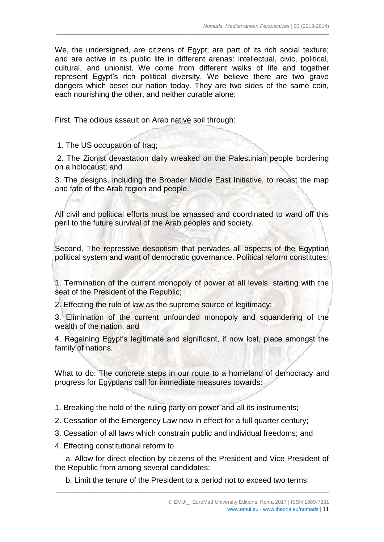We, the undersigned, are citizens of Egypt; are part of its rich social texture; and are active in its public life in different arenas: intellectual, civic, political, cultural, and unionist. We come from different walks of life and together represent Egypt's rich political diversity. We believe there are two grave dangers which beset our nation today. They are two sides of the same coin, each nourishing the other, and neither curable alone:

 $\_$  ,  $\_$  ,  $\_$  ,  $\_$  ,  $\_$  ,  $\_$  ,  $\_$  ,  $\_$  ,  $\_$  ,  $\_$  ,  $\_$  ,  $\_$  ,  $\_$  ,  $\_$  ,  $\_$  ,  $\_$  ,  $\_$  ,  $\_$  ,  $\_$  ,  $\_$  ,  $\_$  ,  $\_$  ,  $\_$  ,  $\_$  ,  $\_$  ,  $\_$  ,  $\_$  ,  $\_$  ,  $\_$  ,  $\_$  ,  $\_$  ,  $\_$  ,  $\_$  ,  $\_$  ,  $\_$  ,  $\_$  ,  $\_$  ,

First, The odious assault on Arab native soil through:

1. The US occupation of Iraq;

2. The Zionist devastation daily wreaked on the Palestinian people bordering on a holocaust; and

3. The designs, including the Broader Middle East Initiative, to recast the map and fate of the Arab region and people.

All civil and political efforts must be amassed and coordinated to ward off this peril to the future survival of the Arab peoples and society.

Second, The repressive despotism that pervades all aspects of the Egyptian political system and want of democratic governance. Political reform constitutes:

1. Termination of the current monopoly of power at all levels, starting with the seat of the President of the Republic;

2. Effecting the rule of law as the supreme source of legitimacy;

3. Elimination of the current unfounded monopoly and squandering of the wealth of the nation; and

4. Regaining Egypt's legitimate and significant, if now lost, place amongst the family of nations.

What to do: The concrete steps in our route to a homeland of democracy and progress for Egyptians call for immediate measures towards:

1. Breaking the hold of the ruling party on power and all its instruments;

2. Cessation of the Emergency Law now in effect for a full quarter century;

- 3. Cessation of all laws which constrain public and individual freedoms; and
- 4. Effecting constitutional reform to

 a. Allow for direct election by citizens of the President and Vice President of the Republic from among several candidates;

\_\_\_\_\_\_\_\_\_\_\_\_\_\_\_\_\_\_\_\_\_\_\_\_\_\_\_\_\_\_\_\_\_\_\_\_\_\_\_\_\_\_\_\_\_\_\_\_\_\_\_\_\_\_\_\_\_\_\_\_\_\_\_\_\_\_\_\_\_\_\_\_\_\_\_\_\_\_\_\_\_\_\_\_\_\_\_\_\_\_\_\_\_\_\_

b. Limit the tenure of the President to a period not to exceed two terms;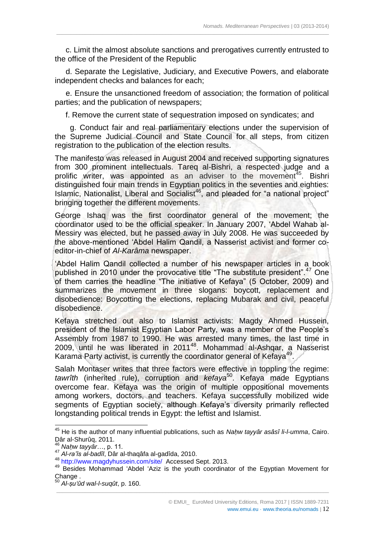c. Limit the almost absolute sanctions and prerogatives currently entrusted to the office of the President of the Republic

 $\_$  ,  $\_$  ,  $\_$  ,  $\_$  ,  $\_$  ,  $\_$  ,  $\_$  ,  $\_$  ,  $\_$  ,  $\_$  ,  $\_$  ,  $\_$  ,  $\_$  ,  $\_$  ,  $\_$  ,  $\_$  ,  $\_$  ,  $\_$  ,  $\_$  ,  $\_$  ,  $\_$  ,  $\_$  ,  $\_$  ,  $\_$  ,  $\_$  ,  $\_$  ,  $\_$  ,  $\_$  ,  $\_$  ,  $\_$  ,  $\_$  ,  $\_$  ,  $\_$  ,  $\_$  ,  $\_$  ,  $\_$  ,  $\_$  ,

 d. Separate the Legislative, Judiciary, and Executive Powers, and elaborate independent checks and balances for each;

 e. Ensure the unsanctioned freedom of association; the formation of political parties; and the publication of newspapers;

f. Remove the current state of sequestration imposed on syndicates; and

 g. Conduct fair and real parliamentary elections under the supervision of the Supreme Judicial Council and State Council for all steps, from citizen registration to the publication of the election results.

The manifesto was released in August 2004 and received supporting signatures from 300 prominent intellectuals. Tareq al-Bishri, a respected judge and a prolific writer, was appointed as an adviser to the movement<sup>45</sup>. Bishri distinguished four main trends in Egyptian politics in the seventies and eighties: Islamic, Nationalist, Liberal and Socialist<sup>46</sup>, and pleaded for "a national project" bringing together the different movements.

George Ishaq was the first coordinator general of the movement; the coordinator used to be the official speaker. In January 2007, ʻAbdel Wahab al-Messiry was elected, but he passed away in July 2008. He was succeeded by the above-mentioned ʻAbdel Halim Qandil, a Nasserist activist and former coeditor-in-chief of *Al-Karâma* newspaper.

ʻAbdel Halim Qandil collected a number of his newspaper articles in a book published in 2010 under the provocative title "The substitute president".<sup>47</sup> One of them carries the headline "The initiative of Kefaya" (5 October, 2009) and summarizes the movement in three slogans: boycott, replacement and disobedience: Boycotting the elections, replacing Mubarak and civil, peaceful disobedience.

Kefaya stretched out also to Islamist activists: Magdy Ahmed Hussein, president of the Islamist Egyptian Labor Party, was a member of the People's Assembly from 1987 to 1990. He was arrested many times, the last time in 2009, until he was liberated in 2011<sup>48</sup>. Mohammad al-Ashqar, a Nasserist Karama Party activist, is currently the coordinator general of Kefaya<sup>49</sup>.

Salah Montaser writes that three factors were effective in toppling the regime: *tawrîth* (inherited rule), corruption and *kefaya*<sup>50</sup>. Kefaya made Egyptians overcome fear. Kefaya was the origin of multiple oppositional movements among workers, doctors, and teachers. Kefaya successfully mobilized wide segments of Egyptian society, although Kefaya's diversity primarily reflected longstanding political trends in Egypt: the leftist and Islamist.

 $\overline{a}$ 

<sup>45</sup> He is the author of many influential publications, such as *Naḥw tayyâr asâsî li-l-umma*, Cairo. Dâr al-Shurûq, 2011.

<sup>46</sup> *Naḥw tayyâr*…, p. 11*.*

<sup>47</sup> *Al-ra'îs al-badîl*, Dâr al-thaqâfa al-gadîda, 2010.

<sup>48</sup> <http://www.magdyhussein.com/site/>Accessed Sept. 2013.

<sup>49</sup> Besides Mohammad ʻAbdel ʻAziz is the youth coordinator of the Egyptian Movement for Change .

<sup>50</sup> *Al-ṣuʻûd wal-l-suqût*, p. 160.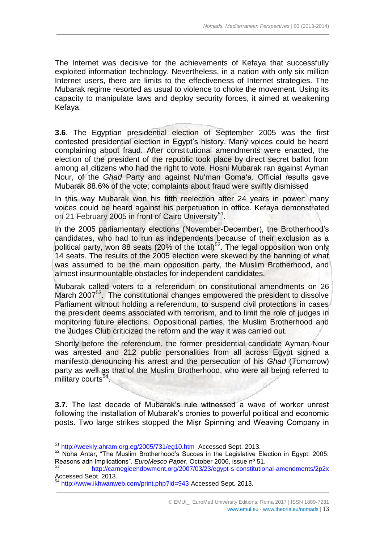The Internet was decisive for the achievements of Kefaya that successfully exploited information technology. Nevertheless, in a nation with only six million Internet users, there are limits to the effectiveness of Internet strategies. The Mubarak regime resorted as usual to violence to choke the movement. Using its capacity to manipulate laws and deploy security forces, it aimed at weakening Kefaya.

 $\_$  ,  $\_$  ,  $\_$  ,  $\_$  ,  $\_$  ,  $\_$  ,  $\_$  ,  $\_$  ,  $\_$  ,  $\_$  ,  $\_$  ,  $\_$  ,  $\_$  ,  $\_$  ,  $\_$  ,  $\_$  ,  $\_$  ,  $\_$  ,  $\_$  ,  $\_$  ,  $\_$  ,  $\_$  ,  $\_$  ,  $\_$  ,  $\_$  ,  $\_$  ,  $\_$  ,  $\_$  ,  $\_$  ,  $\_$  ,  $\_$  ,  $\_$  ,  $\_$  ,  $\_$  ,  $\_$  ,  $\_$  ,  $\_$  ,

**3.6**. The Egyptian presidential election of September 2005 was the first contested presidential election in Egypt's history. Many voices could be heard complaining about fraud. After constitutional amendments were enacted, the election of the president of the republic took place by direct secret ballot from among all citizens who had the right to vote. Hosni Mubarak ran against Ayman Nour, of the *Ghad* Party and against Nuʻman Gomaʻa. Official results gave Mubarak 88.6% of the vote; complaints about fraud were swiftly dismissed

In this way Mubarak won his fifth reelection after 24 years in power; many voices could be heard against his perpetuation in office. Kefaya demonstrated on 21 February 2005 in front of Cairo University<sup>51</sup>.

In the 2005 parliamentary elections (November-December), the Brotherhood's candidates, who had to run as independents because of their exclusion as a political party, won 88 seats (20% of the total)<sup>52</sup>. The legal opposition won only 14 seats. The results of the 2005 election were skewed by the banning of what was assumed to be the main opposition party, the Muslim Brotherhood, and almost insurmountable obstacles for independent candidates.

Mubarak called voters to a referendum on constitutional amendments on 26 March 2007<sup>53</sup>. The constitutional changes empowered the president to dissolve Parliament without holding a referendum, to suspend civil protections in cases the president deems associated with terrorism, and to limit the role of judges in monitoring future elections. Oppositional parties, the Muslim Brotherhood and the Judges Club criticized the reform and the way it was carried out.

Shortly before the referendum, the former presidential candidate Ayman Nour was arrested and 212 public personalities from all across Egypt signed a manifesto denouncing his arrest and the persecution of his *Ghad* (Tomorrow) party as well as that of the Muslim Brotherhood, who were all being referred to military courts<sup>54</sup>.

**3.7.** The last decade of Mubarak's rule witnessed a wave of worker unrest following the installation of Mubarak's cronies to powerful political and economic posts. Two large strikes stopped the Miṣr Spinning and Weaving Company in

-

<sup>&</sup>lt;sup>51</sup> <http://weekly.ahram.org.eg/2005/731/eg10.htm>Accessed Sept. 2013.

<sup>52</sup> Noha Antar, "The Muslim Brotherhood's Succes in the Legislative Election in Egypt: 2005: Reasons adn Implications". *EuroMesco Paper*, October 2006, issue nº 51.

<sup>53</sup> <http://carnegieendowment.org/2007/03/23/egypt-s-constitutional-amendments/2p2x> Accessed Sept. 2013.

<sup>&</sup>lt;sup>54</sup> <http://www.ikhwanweb.com/print.php?id=943> Accessed Sept. 2013.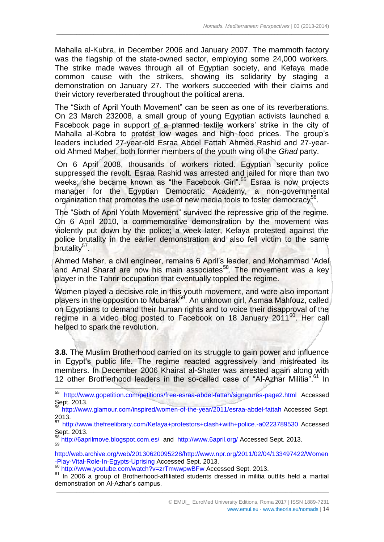Mahalla al-Kubra, in December 2006 and January 2007. The mammoth factory was the flagship of the state-owned sector, employing some 24,000 workers. The strike made waves through all of Egyptian society, and Kefaya made common cause with the strikers, showing its solidarity by staging a demonstration on January 27. The workers succeeded with their claims and their victory reverberated throughout the political arena.

 $\_$  ,  $\_$  ,  $\_$  ,  $\_$  ,  $\_$  ,  $\_$  ,  $\_$  ,  $\_$  ,  $\_$  ,  $\_$  ,  $\_$  ,  $\_$  ,  $\_$  ,  $\_$  ,  $\_$  ,  $\_$  ,  $\_$  ,  $\_$  ,  $\_$  ,  $\_$  ,  $\_$  ,  $\_$  ,  $\_$  ,  $\_$  ,  $\_$  ,  $\_$  ,  $\_$  ,  $\_$  ,  $\_$  ,  $\_$  ,  $\_$  ,  $\_$  ,  $\_$  ,  $\_$  ,  $\_$  ,  $\_$  ,  $\_$  ,

The "Sixth of April Youth Movement" can be seen as one of its reverberations. On 23 March 232008, a small group of young Egyptian activists launched a Facebook page in support of a planned textile workers' strike in the city of Mahalla al-Kobra to protest low wages and high food prices. The group's leaders included 27-year-old Esraa Abdel Fattah Ahmed Rashid and 27-yearold Ahmed Maher, both former members of the youth wing of the *Ghad* party.

On 6 April 2008, thousands of workers rioted. Egyptian security police suppressed the revolt. Esraa Rashid was arrested and jailed for more than two weeks; she became known as "the Facebook Girl".<sup>55</sup> Esraa is now projects manager for the Egyptian Democratic Academy, a non-governmental organization that promotes the use of new media tools to foster democracy<sup>56</sup>.

The "Sixth of April Youth Movement" survived the repressive grip of the regime. On 6 April 2010, a commemorative demonstration by the movement was violently put down by the police; a week later, Kefaya protested against the police brutality in the earlier demonstration and also fell victim to the same brutality<sup>57</sup>.

Ahmed Maher, a civil engineer, remains 6 April's leader, and Mohammad ʻAdel and Amal Sharaf are now his main associates<sup>58</sup>. The movement was a key player in the Tahrir occupation that eventually toppled the regime.

Women played a decisive role in this youth movement, and were also important players in the opposition to Mubarak<sup>59</sup>. An unknown girl, Asmaa Mahfouz, called on Egyptians to demand their human rights and to voice their disapproval of the regime in a video blog posted to Facebook on 18 January 2011<sup>60</sup>. Her call helped to spark the revolution.

**3.8.** The Muslim Brotherhood carried on its struggle to gain power and influence in Egypt's public life. The regime reacted aggressively and mistreated its members. In December 2006 Khairat al-Shater was arrested again along with 12 other Brotherhood leaders in the so-called case of "Al-Azhar Militia".<sup>61</sup> In

<sup>55</sup> <http://www.gopetition.com/petitions/free-esraa-abdel-fattah/signatures-page2.html> Accessed Sept. 2013.

<sup>56</sup> <http://www.glamour.com/inspired/women-of-the-year/2011/esraa-abdel-fattah> Accessed Sept.  $2013.$ 

<sup>57</sup> <http://www.thefreelibrary.com/Kefaya+protestors+clash+with+police.-a0223789530> Accessed Sept. 2013.

<sup>58</sup> <http://6aprilmove.blogspot.com.es/>and <http://www.6april.org/> Accessed Sept. 2013.<br><sup>59</sup>

[http://web.archive.org/web/20130620095228/http://www.npr.org/2011/02/04/133497422/Women](http://web.archive.org/web/20130620095228/http:/www.npr.org/2011/02/04/133497422/Women-Play-Vital-Role-In-Egypts-Uprising) [-Play-Vital-Role-In-Egypts-Uprising](http://web.archive.org/web/20130620095228/http:/www.npr.org/2011/02/04/133497422/Women-Play-Vital-Role-In-Egypts-Uprising) Accessed Sept. 2013.

-

www.emui.eu · www.theoria.eu/nomads | 14

<sup>60</sup> <http://www.youtube.com/watch?v=zrTmwwpwBFw> Accessed Sept. 2013.

\_\_\_\_\_\_\_\_\_\_\_\_\_\_\_\_\_\_\_\_\_\_\_\_\_\_\_\_\_\_\_\_\_\_\_\_\_\_\_\_\_\_\_\_\_\_\_\_\_\_\_\_\_\_\_\_\_\_\_\_\_\_\_\_\_\_\_\_\_\_\_\_\_\_\_\_\_\_\_\_\_\_\_\_\_\_\_\_\_\_\_\_\_\_\_  $61$  In 2006 a group of Brotherhood-affiliated students dressed in militia outfits held a martial demonstration on Al-Azhar's campus.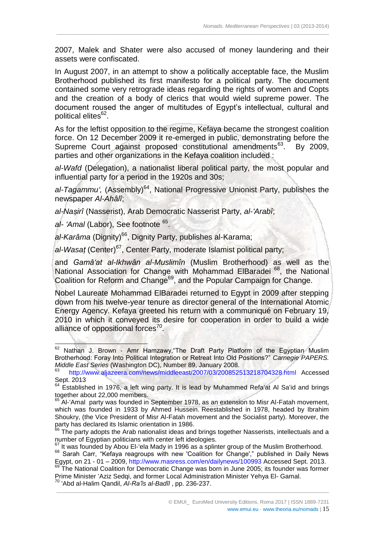2007, Malek and Shater were also accused of money laundering and their assets were confiscated.

 $\_$  ,  $\_$  ,  $\_$  ,  $\_$  ,  $\_$  ,  $\_$  ,  $\_$  ,  $\_$  ,  $\_$  ,  $\_$  ,  $\_$  ,  $\_$  ,  $\_$  ,  $\_$  ,  $\_$  ,  $\_$  ,  $\_$  ,  $\_$  ,  $\_$  ,  $\_$  ,  $\_$  ,  $\_$  ,  $\_$  ,  $\_$  ,  $\_$  ,  $\_$  ,  $\_$  ,  $\_$  ,  $\_$  ,  $\_$  ,  $\_$  ,  $\_$  ,  $\_$  ,  $\_$  ,  $\_$  ,  $\_$  ,  $\_$  ,

In August 2007, in an attempt to show a politically acceptable face, the Muslim Brotherhood published its first manifesto for a political party. The document contained some very retrograde ideas regarding the rights of women and Copts and the creation of a body of clerics that would wield supreme power. The document roused the anger of multitudes of Egypt's intellectual, cultural and political elites<sup>62</sup>.

As for the leftist opposition to the regime, Kefaya became the strongest coalition force. On 12 December 2009 it re-emerged in public, demonstrating before the Supreme Court against proposed constitutional amendments<sup>63</sup>. By 2009, parties and other organizations in the Kefaya coalition included :

*al-Wafd* (Delegation), a nationalist liberal political party, the most popular and influential party for a period in the 1920s and 30s;

al-Tagammu<sup>'</sup>, (Assembly)<sup>64</sup>, National Progressive Unionist Party, publishes the newspaper *Al-Ahâlî*;

*al-Naṣirî* (Nasserist), Arab Democratic Nasserist Party, *al-ʻArabî*;

al- 'Amal (Labor), See footnote <sup>65</sup>.

-

al-Karâma (Dignity)<sup>66</sup>, Dignity Party, publishes al-Karama;

*al-Wasaṭ* (Center)<sup>67</sup>, Center Party, moderate Islamist political party;

and *Gamâʻat al-Ikhwân al-Muslimîn* (Muslim Brotherhood) as well as the National Association for Change with Mohammad ElBaradei <sup>68</sup>, the National Coalition for Reform and Change<sup>69</sup>, and the Popular Campaign for Change.

Nobel Laureate Mohammad ElBaradei returned to Egypt in 2009 after stepping down from his twelve-year tenure as director general of the International Atomic Energy Agency. Kefaya greeted his return with a communiqué on February 19, 2010 in which it conveyed its desire for cooperation in order to build a wide alliance of oppositional forces<sup>70</sup>.

Nathan J. Brown - Amr Hamzawy, "The Draft Party Platform of the Egyptian Muslim Brotherhood: Foray Into Political Integration or Retreat Into Old Positions?" *Carnegie PAPERS. Middle East Series* (Washington DC), Number 89, January 2008.

<sup>63</sup> <http://www.aljazeera.com/news/middleeast/2007/03/200852513218704328.html> Accessed Sept. 2013

 $64$  Established in 1976, a left wing party. It is lead by Muhammed Refa'at Al Sa'id and brings together about  $22,000$  members.

Al-'Amal party was founded in September 1978, as an extension to Misr Al-Fatah movement, which was founded in 1933 by Ahmed Hussein. Reestablished in 1978, headed by Ibrahim Shoukry, (the Vice President of Misr Al-Fatah movement and the Socialist party). Moreover, the party has declared its Islamic orientation in 1986.

 $^{66}$  The party adopts the Arab nationalist ideas and brings together Nasserists, intellectuals and a number of Egyptian politicians with center left ideologies.

It was founded by Abou El-'ela Mady in 1996 as a splinter group of the Muslim Brotherhood.

<sup>&</sup>lt;sup>68</sup> Sarah Carr, "Kefaya reagroups with new 'Coalition for Change'," published in Daily News Egypt, on 21 - 01 – 2009,<http://www.masress.com/en/dailynews/100993> Accessed Sept. 2013.

The National Coalition for Democratic Change was born in June 2005; its founder was former Prime Minister ʻAziz Sedqi, and former Local Administration Minister Yehya El- Gamal. <sup>70</sup> ʻAbd al-Halim Qandil, *Al-Ra'îs al-Badîl* , pp. 236-237.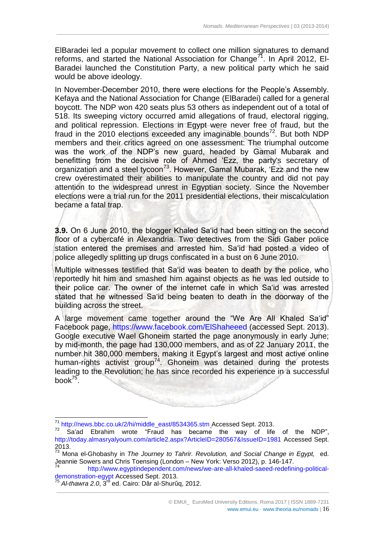ElBaradei led a popular movement to collect one million signatures to demand reforms, and started the National Association for Change<sup>71</sup>. In April 2012, EI-Baradei launched the Constitution Party, a new political party which he said would be above ideology.

 $\_$  ,  $\_$  ,  $\_$  ,  $\_$  ,  $\_$  ,  $\_$  ,  $\_$  ,  $\_$  ,  $\_$  ,  $\_$  ,  $\_$  ,  $\_$  ,  $\_$  ,  $\_$  ,  $\_$  ,  $\_$  ,  $\_$  ,  $\_$  ,  $\_$  ,  $\_$  ,  $\_$  ,  $\_$  ,  $\_$  ,  $\_$  ,  $\_$  ,  $\_$  ,  $\_$  ,  $\_$  ,  $\_$  ,  $\_$  ,  $\_$  ,  $\_$  ,  $\_$  ,  $\_$  ,  $\_$  ,  $\_$  ,  $\_$  ,

In November-December 2010, there were elections for the People's Assembly. Kefaya and the National Association for Change (ElBaradei) called for a general boycott. The NDP won 420 seats plus 53 others as independent out of a total of 518. Its sweeping victory occurred amid allegations of fraud, electoral rigging, and political repression. Elections in Egypt were never free of fraud, but the fraud in the 2010 elections exceeded any imaginable bounds<sup>72</sup>. But both NDP members and their critics agreed on one assessment: The triumphal outcome was the work of the NDP's new guard, headed by Gamal Mubarak and benefitting from the decisive role of Ahmed ʻEzz, the party's secretary of organization and a steel tycoon<sup>73</sup>. However, Gamal Mubarak, 'Ezz and the new crew overestimated their abilities to manipulate the country and did not pay attention to the widespread unrest in Egyptian society. Since the November elections were a trial run for the 2011 presidential elections, their miscalculation became a fatal trap.

**3.9.** On 6 June 2010, the blogger Khaled Saʻid had been sitting on the second floor of a cybercafé in Alexandria. Two detectives from the Sidi Gaber police station entered the premises and arrested him. Saʻid had posted a video of police allegedly splitting up drugs confiscated in a bust on 6 June 2010.

Multiple witnesses testified that Saʻid was beaten to death by the police, who reportedly hit him and smashed him against objects as he was led outside to their police car. The owner of the internet cafe in which Saʻid was arrested stated that he witnessed Saʻid being beaten to death in the doorway of the building across the street.

A large movement came together around the "We Are All Khaled Saʻid" Facebook page,<https://www.facebook.com/ElShaheeed> (accessed Sept. 2013). Google executive Wael Ghoneim started the page anonymously in early June; by mid-month, the page had 130,000 members, and as of 22 January 2011, the number hit 380,000 members, making it Egypt's largest and most active online human-rights activist group<sup>74</sup>. Ghoneim was detained during the protests leading to the Revolution; he has since recorded his experience in a successful book $^{75}$ .

[http://www.egyptindependent.com/news/we-are-all-khaled-saeed-redefining-political](http://www.egyptindependent.com/news/we-are-all-khaled-saeed-redefining-political-demonstration-egypt)[demonstration-egypt](http://www.egyptindependent.com/news/we-are-all-khaled-saeed-redefining-political-demonstration-egypt) Accessed Sept. 2013.

\_\_\_\_\_\_\_\_\_\_\_\_\_\_\_\_\_\_\_\_\_\_\_\_\_\_\_\_\_\_\_\_\_\_\_\_\_\_\_\_\_\_\_\_\_\_\_\_\_\_\_\_\_\_\_\_\_\_\_\_\_\_\_\_\_\_\_\_\_\_\_\_\_\_\_\_\_\_\_\_\_\_\_\_\_\_\_\_\_\_\_\_\_\_\_

-

**South A** 

<sup>&</sup>lt;sup>71</sup> [http://news.bbc.co.uk/2/hi/middle\\_east/8534365.stm](http://news.bbc.co.uk/2/hi/middle_east/8534365.stm)\_Accessed Sept. 2013.

<sup>&</sup>lt;sup>72</sup> Sa'ad Ebrahim wrote "Fraud has became the way of life of the NDP", <http://today.almasryalyoum.com/article2.aspx?ArticleID=280567&IssueID=1981> Accessed Sept. 2013.

<sup>73</sup> Mona el-Ghobashy in *The Journey to Tahrir. Revolution, and Social Change in Egypt,* ed. Jeannie Sowers and Chris Toensing (London – New York: Verso 2012), p. 146-147.

<sup>75</sup> *Al-thawra 2.0*, 3rd ed. Cairo: Dâr al-Shurûq, 2012.